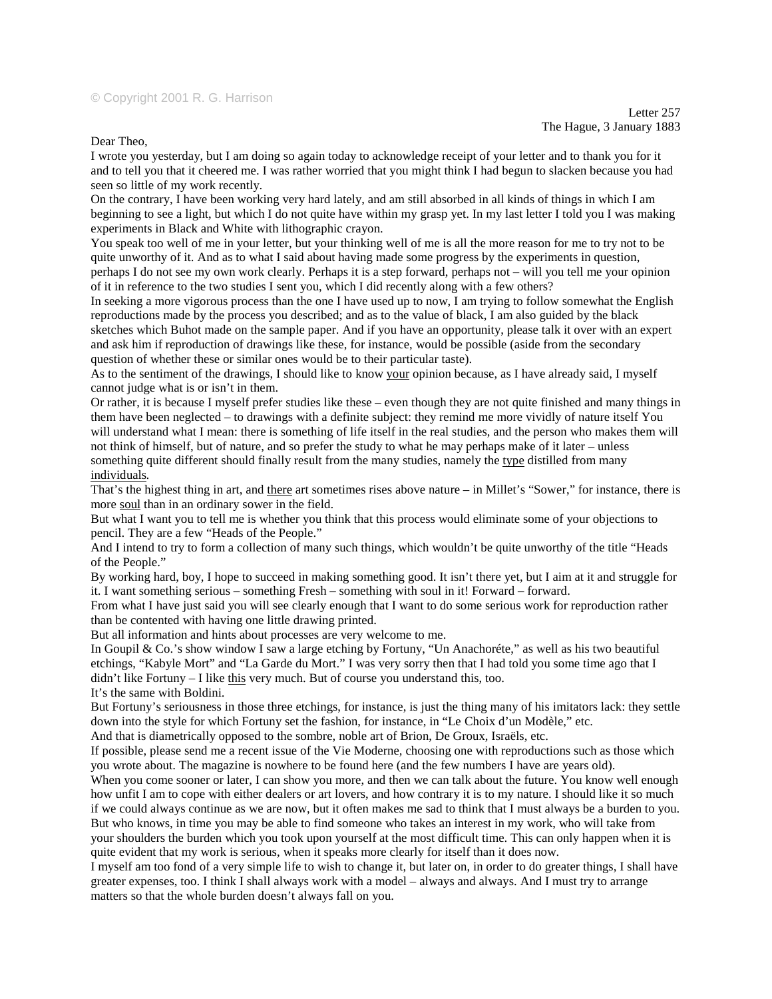## © Copyright 2001 R. G. Harrison

Dear Theo,

I wrote you yesterday, but I am doing so again today to acknowledge receipt of your letter and to thank you for it and to tell you that it cheered me. I was rather worried that you might think I had begun to slacken because you had seen so little of my work recently.

On the contrary, I have been working very hard lately, and am still absorbed in all kinds of things in which I am beginning to see a light, but which I do not quite have within my grasp yet. In my last letter I told you I was making experiments in Black and White with lithographic crayon.

You speak too well of me in your letter, but your thinking well of me is all the more reason for me to try not to be quite unworthy of it. And as to what I said about having made some progress by the experiments in question, perhaps I do not see my own work clearly. Perhaps it is a step forward, perhaps not – will you tell me your opinion of it in reference to the two studies I sent you, which I did recently along with a few others?

In seeking a more vigorous process than the one I have used up to now, I am trying to follow somewhat the English reproductions made by the process you described; and as to the value of black, I am also guided by the black sketches which Buhot made on the sample paper. And if you have an opportunity, please talk it over with an expert and ask him if reproduction of drawings like these, for instance, would be possible (aside from the secondary question of whether these or similar ones would be to their particular taste).

As to the sentiment of the drawings, I should like to know your opinion because, as I have already said, I myself cannot judge what is or isn't in them.

Or rather, it is because I myself prefer studies like these – even though they are not quite finished and many things in them have been neglected – to drawings with a definite subject: they remind me more vividly of nature itself You will understand what I mean: there is something of life itself in the real studies, and the person who makes them will not think of himself, but of nature, and so prefer the study to what he may perhaps make of it later – unless something quite different should finally result from the many studies, namely the type distilled from many individuals*.*

That's the highest thing in art, and there art sometimes rises above nature – in Millet's "Sower," for instance, there is more soul than in an ordinary sower in the field.

But what I want you to tell me is whether you think that this process would eliminate some of your objections to pencil. They are a few "Heads of the People."

And I intend to try to form a collection of many such things, which wouldn't be quite unworthy of the title "Heads of the People."

By working hard, boy, I hope to succeed in making something good. It isn't there yet, but I aim at it and struggle for it. I want something serious – something Fresh – something with soul in it! Forward – forward.

From what I have just said you will see clearly enough that I want to do some serious work for reproduction rather than be contented with having one little drawing printed.

But all information and hints about processes are very welcome to me.

In Goupil & Co.'s show window I saw a large etching by Fortuny, "Un Anachoréte," as well as his two beautiful etchings, "Kabyle Mort" and "La Garde du Mort." I was very sorry then that I had told you some time ago that I  $d$ idn't like Fortuny – I like  $\underline{this}$  very much. But of course you understand this, too.

It's the same with Boldini.

But Fortuny's seriousness in those three etchings, for instance, is just the thing many of his imitators lack: they settle down into the style for which Fortuny set the fashion, for instance, in "Le Choix d'un Modèle," etc.

And that is diametrically opposed to the sombre, noble art of Brion, De Groux, Israëls, etc.

If possible, please send me a recent issue of the Vie Moderne*,* choosing one with reproductions such as those which you wrote about. The magazine is nowhere to be found here (and the few numbers I have are years old).

When you come sooner or later, I can show you more, and then we can talk about the future. You know well enough how unfit I am to cope with either dealers or art lovers, and how contrary it is to my nature. I should like it so much if we could always continue as we are now, but it often makes me sad to think that I must always be a burden to you. But who knows, in time you may be able to find someone who takes an interest in my work, who will take from your shoulders the burden which you took upon yourself at the most difficult time. This can only happen when it is quite evident that my work is serious, when it speaks more clearly for itself than it does now.

I myself am too fond of a very simple life to wish to change it, but later on, in order to do greater things, I shall have greater expenses, too. I think I shall always work with a model – always and always. And I must try to arrange matters so that the whole burden doesn't always fall on you.